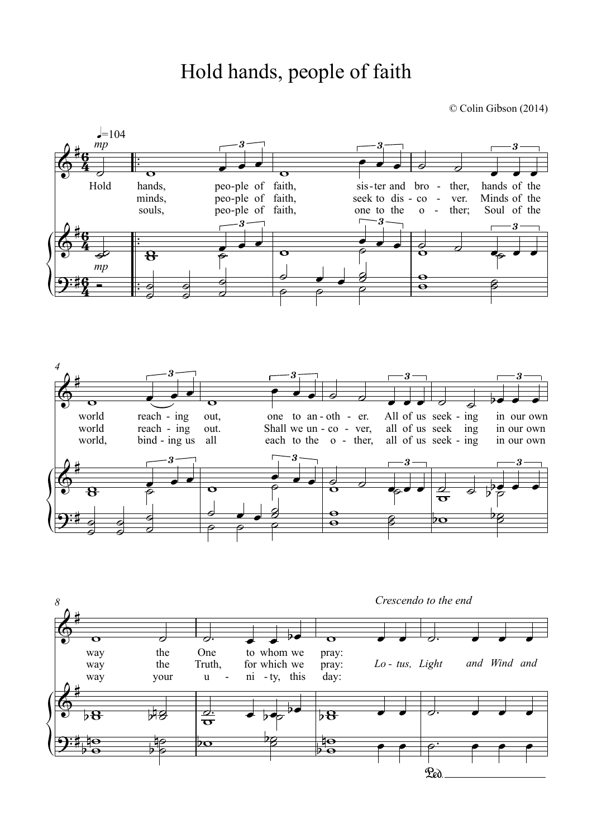## Hold hands, people of faith

© Colin Gibson (2014)